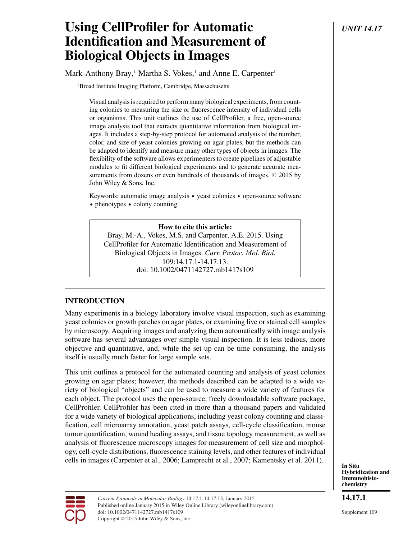# Using CellProfiler for Automatic *UNIT 14.17* **Identification and Measurement of Biological Objects in Images**

Mark-Anthony Bray,<sup>1</sup> Martha S. Vokes,<sup>1</sup> and Anne E. Carpenter<sup>1</sup>

<sup>1</sup>Broad Institute Imaging Platform, Cambridge, Massachusetts

Visual analysis is required to perform many biological experiments, from counting colonies to measuring the size or fluorescence intensity of individual cells or organisms. This unit outlines the use of CellProfiler, a free, open-source image analysis tool that extracts quantitative information from biological images. It includes a step-by-step protocol for automated analysis of the number, color, and size of yeast colonies growing on agar plates, but the methods can be adapted to identify and measure many other types of objects in images. The flexibility of the software allows experimenters to create pipelines of adjustable modules to fit different biological experiments and to generate accurate measurements from dozens or even hundreds of thousands of images.  $© 2015$  by John Wiley & Sons, Inc.

Keywords: automatic image analysis • yeast colonies • open-source software - phenotypes - colony counting

# **How to cite this article:**

Bray, M.-A., Vokes, M.S. and Carpenter, A.E. 2015. Using CellProfiler for Automatic Identification and Measurement of Biological Objects in Images. *Curr. Protoc. Mol. Biol.* 109:14.17.1-14.17.13. doi: 10.1002/0471142727.mb1417s109

# **INTRODUCTION**

Many experiments in a biology laboratory involve visual inspection, such as examining yeast colonies or growth patches on agar plates, or examining live or stained cell samples by microscopy. Acquiring images and analyzing them automatically with image analysis software has several advantages over simple visual inspection. It is less tedious, more objective and quantitative, and, while the set up can be time consuming, the analysis itself is usually much faster for large sample sets.

This unit outlines a protocol for the automated counting and analysis of yeast colonies growing on agar plates; however, the methods described can be adapted to a wide variety of biological "objects" and can be used to measure a wide variety of features for each object. The protocol uses the open-source, freely downloadable software package, CellProfiler. CellProfiler has been cited in more than a thousand papers and validated for a wide variety of biological applications, including yeast colony counting and classification, cell microarray annotation, yeast patch assays, cell-cycle classification, mouse tumor quantification, wound healing assays, and tissue topology measurement, as well as analysis of fluorescence microscopy images for measurement of cell size and morphology, cell-cycle distributions, fluorescence staining levels, and other features of individual cells in images (Carpenter et al., 2006; Lamprecht et al., 2007; Kamentsky et al. 2011).





Supplement 109

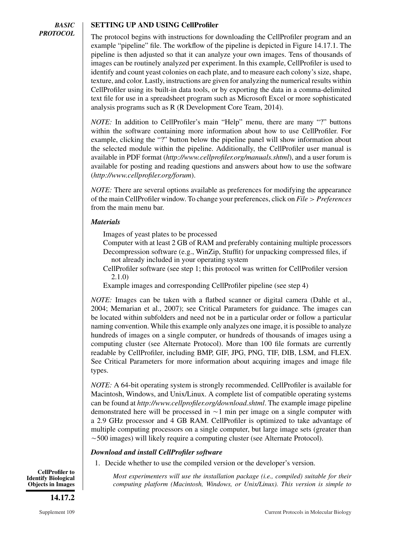*BASIC PROTOCOL*

# **SETTING UP AND USING CellProfiler**

The protocol begins with instructions for downloading the CellProfiler program and an example "pipeline" file. The workflow of the pipeline is depicted in Figure 14.17.1. The pipeline is then adjusted so that it can analyze your own images. Tens of thousands of images can be routinely analyzed per experiment. In this example, CellProfiler is used to identify and count yeast colonies on each plate, and to measure each colony's size, shape, texture, and color. Lastly, instructions are given for analyzing the numerical results within CellProfiler using its built-in data tools, or by exporting the data in a comma-delimited text file for use in a spreadsheet program such as Microsoft Excel or more sophisticated analysis programs such as R (R Development Core Team, 2014).

*NOTE:* In addition to CellProfiler's main "Help" menu, there are many "?" buttons within the software containing more information about how to use CellProfiler. For example, clicking the "?" button below the pipeline panel will show information about the selected module within the pipeline. Additionally, the CellProfiler user manual is available in PDF format (*<http://www.cellprofiler.org/manuals.shtml>*), and a user forum is available for posting and reading questions and answers about how to use the software (*<http://www.cellprofiler.org/forum>*).

*NOTE:* There are several options available as preferences for modifying the appearance of the main CellProfiler window. To change your preferences, click on *File* > *Preferences* from the main menu bar.

# *Materials*

Images of yeast plates to be processed

- Computer with at least 2 GB of RAM and preferably containing multiple processors Decompression software (e.g., WinZip, Stuffit) for unpacking compressed files, if not already included in your operating system
- CellProfiler software (see step 1; this protocol was written for CellProfiler version 2.1.0)

Example images and corresponding CellProfiler pipeline (see step 4)

*NOTE:* Images can be taken with a flatbed scanner or digital camera (Dahle et al., 2004; Memarian et al., 2007); see Critical Parameters for guidance. The images can be located within subfolders and need not be in a particular order or follow a particular naming convention. While this example only analyzes one image, it is possible to analyze hundreds of images on a single computer, or hundreds of thousands of images using a computing cluster (see Alternate Protocol). More than 100 file formats are currently readable by CellProfiler, including BMP, GIF, JPG, PNG, TIF, DIB, LSM, and FLEX. See Critical Parameters for more information about acquiring images and image file types.

*NOTE:* A 64-bit operating system is strongly recommended. CellProfiler is available for Macintosh, Windows, and Unix/Linux. A complete list of compatible operating systems can be found at *<http://www.cellprofiler.org/download.shtml>*. The example image pipeline demonstrated here will be processed in  $\sim$  1 min per image on a single computer with a 2.9 GHz processor and 4 GB RAM. CellProfiler is optimized to take advantage of multiple computing processors on a single computer, but large image sets (greater than -500 images) will likely require a computing cluster (see Alternate Protocol).

# *Download and install CellProfiler software*

1. Decide whether to use the compiled version or the developer's version.

*Most experimenters will use the installation package (i.e., compiled) suitable for their computing platform (Macintosh, Windows, or Unix/Linux). This version is simple to*

**CellProfiler to Identify Biological Objects in Images**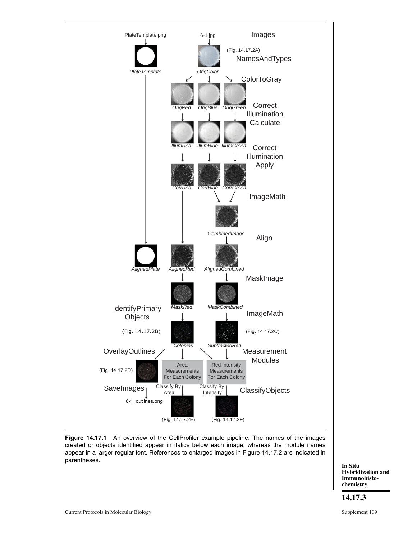

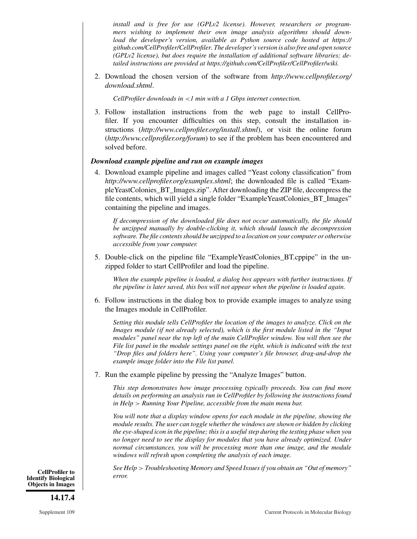*install and is free for use (GPLv2 license). However, researchers or programmers wishing to implement their own image analysis algorithms should download the developer's version, available as Python source code hosted at [https://](http://https://github.com/CellProfiler/CellProfiler) [github.com/CellProfiler/CellProfiler.](http://https://github.com/CellProfiler/CellProfiler) The developer's version is also free and open source (GPLv2 license), but does require the installation of additional software libraries; detailed instructions are provided at [https://github.com/CellProfiler/CellProfiler/wiki.](http://https://github.com/CellProfiler/CellProfiler/wiki)*

2. Download the chosen version of the software from *[http://www.cellprofiler.org/](http://www.cellprofiler.org/download.shtml) [download.shtml](http://www.cellprofiler.org/download.shtml)*.

*CellProfiler downloads in* <*1 min with a 1 Gbps internet connection.*

3. Follow installation instructions from the web page to install CellProfiler. If you encounter difficulties on this step, consult the installation instructions (*<http://www.cellprofiler.org/install.shtml>*), or visit the online forum (*<http://www.cellprofiler.org/forum>*) to see if the problem has been encountered and solved before.

# *Download example pipeline and run on example images*

4. Download example pipeline and images called "Yeast colony classification" from *<http://www.cellprofiler.org/examples.shtml>*; the downloaded file is called "ExampleYeastColonies\_BT\_Images.zip". After downloading the ZIP file, decompress the file contents, which will yield a single folder "ExampleYeastColonies\_BT\_Images" containing the pipeline and images.

*If decompression of the downloaded file does not occur automatically, the file should be unzipped manually by double-clicking it, which should launch the decompression software. The file contents should be unzipped to a location on your computer or otherwise accessible from your computer.*

5. Double-click on the pipeline file "ExampleYeastColonies\_BT.cppipe" in the unzipped folder to start CellProfiler and load the pipeline.

*When the example pipeline is loaded, a dialog box appears with further instructions. If the pipeline is later saved, this box will not appear when the pipeline is loaded again.*

6. Follow instructions in the dialog box to provide example images to analyze using the Images module in CellProfiler.

*Setting this module tells CellProfiler the location of the images to analyze. Click on the Images module (if not already selected), which is the first module listed in the "Input modules" panel near the top left of the main CellProfiler window. You will then see the File list panel in the module settings panel on the right, which is indicated with the text "Drop files and folders here". Using your computer's file browser, drag-and-drop the example image folder into the File list panel.*

7. Run the example pipeline by pressing the "Analyze Images" button.

*This step demonstrates how image processing typically proceeds. You can find more details on performing an analysis run in CellProfiler by following the instructions found in Help* > *Running Your Pipeline, accessible from the main menu bar.*

*You will note that a display window opens for each module in the pipeline, showing the module results. The user can toggle whether the windows are shown or hidden by clicking the eye-shaped icon in the pipeline; this is a useful step during the testing phase when you no longer need to see the display for modules that you have already optimized. Under normal circumstances, you will be processing more than one image, and the module windows will refresh upon completing the analysis of each image.*

*See Help* > *Troubleshooting Memory and Speed Issues if you obtain an "Out of memory"*

**cellProfiler to**<br>**error.** *error.* **Identify Biological Objects in Images**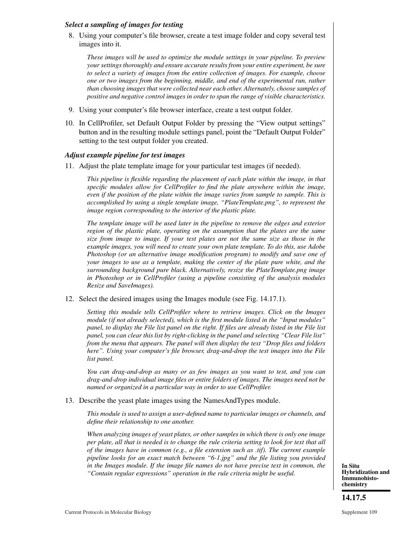## *Select a sampling of images for testing*

8. Using your computer's file browser, create a test image folder and copy several test images into it.

*These images will be used to optimize the module settings in your pipeline. To preview your settings thoroughly and ensure accurate results from your entire experiment, be sure to select a variety of images from the entire collection of images. For example, choose one or two images from the beginning, middle, and end of the experimental run, rather than choosing images that were collected near each other. Alternately, choose samples of positive and negative control images in order to span the range of visible characteristics.*

- 9. Using your computer's file browser interface, create a test output folder.
- 10. In CellProfiler, set Default Output Folder by pressing the "View output settings" button and in the resulting module settings panel, point the "Default Output Folder" setting to the test output folder you created.

# *Adjust example pipeline for test images*

11. Adjust the plate template image for your particular test images (if needed).

*This pipeline is flexible regarding the placement of each plate within the image, in that specific modules allow for CellProfiler to find the plate anywhere within the image, even if the position of the plate within the image varies from sample to sample. This is accomplished by using a single template image, "PlateTemplate.png", to represent the image region corresponding to the interior of the plastic plate.*

*The template image will be used later in the pipeline to remove the edges and exterior region of the plastic plate, operating on the assumption that the plates are the same size from image to image. If your test plates are not the same size as those in the example images, you will need to create your own plate template. To do this, use Adobe Photoshop (or an alternative image modification program) to modify and save one of your images to use as a template, making the center of the plate pure white, and the surrounding background pure black. Alternatively, resize the PlateTemplate.png image in Photoshop or in CellProfiler (using a pipeline consisting of the analysis modules Resize and SaveImages).*

12. Select the desired images using the Images module (see Fig. 14.17.1).

*Setting this module tells CellProfiler where to retrieve images. Click on the Images module (if not already selected), which is the first module listed in the "Input modules" panel, to display the File list panel on the right. If files are already listed in the File list panel, you can clear this list by right-clicking in the panel and selecting "Clear File list" from the menu that appears. The panel will then display the text "Drop files and folders here". Using your computer's file browser, drag-and-drop the test images into the File list panel.*

*You can drag-and-drop as many or as few images as you want to test, and you can drag-and-drop individual image files or entire folders of images. The images need not be named or organized in a particular way in order to use CellProfiler.*

## 13. Describe the yeast plate images using the NamesAndTypes module.

*This module is used to assign a user-defined name to particular images or channels, and define their relationship to one another.*

*When analyzing images of yeast plates, or other samples in which there is only one image per plate, all that is needed is to change the rule criteria setting to look for text that all of the images have in common (e.g., a file extension such as .tif). The current example pipeline looks for an exact match between "6-1.jpg" and the file listing you provided in the Images module. If the image file names do not have precise text in common, the "Contain regular expressions" operation in the rule criteria might be useful.*

**In Situ Hybridization and Immunohistochemistry**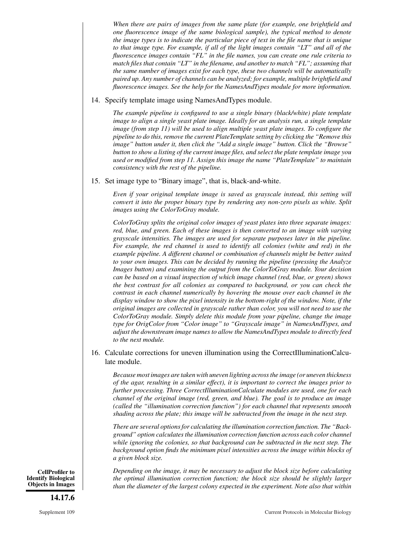*When there are pairs of images from the same plate (for example, one brightfield and one fluorescence image of the same biological sample), the typical method to denote the image types is to indicate the particular piece of text in the file name that is unique to that image type. For example, if all of the light images contain "LT" and all of the fluorescence images contain "FL" in the file names, you can create one rule criteria to match files that contain "LT" in the filename, and another to match "FL"; assuming that the same number of images exist for each type, these two channels will be automatically paired up. Any number of channels can be analyzed; for example, multiple brightfield and fluorescence images. See the help for the NamesAndTypes module for more information.*

14. Specify template image using NamesAndTypes module.

*The example pipeline is configured to use a single binary (black/white) plate template image to align a single yeast plate image. Ideally for an analysis run, a single template image (from step 11) will be used to align multiple yeast plate images. To configure the pipeline to do this, remove the current PlateTemplate setting by clicking the "Remove this image" button under it, then click the "Add a single image" button. Click the "Browse" button to show a listing of the current image files, and select the plate template image you used or modified from step 11. Assign this image the name "PlateTemplate" to maintain consistency with the rest of the pipeline.*

15. Set image type to "Binary image", that is, black-and-white.

*Even if your original template image is saved as grayscale instead, this setting will convert it into the proper binary type by rendering any non-zero pixels as white. Split images using the ColorToGray module.*

*ColorToGray splits the original color images of yeast plates into three separate images: red, blue, and green. Each of these images is then converted to an image with varying grayscale intensities. The images are used for separate purposes later in the pipeline. For example, the red channel is used to identify all colonies (white and red) in the example pipeline. A different channel or combination of channels might be better suited to your own images. This can be decided by running the pipeline (pressing the Analyze Images button) and examining the output from the ColorToGray module. Your decision can be based on a visual inspection of which image channel (red, blue, or green) shows the best contrast for all colonies as compared to background, or you can check the contrast in each channel numerically by hovering the mouse over each channel in the display window to show the pixel intensity in the bottom-right of the window. Note, if the original images are collected in grayscale rather than color, you will not need to use the ColorToGray module. Simply delete this module from your pipeline, change the image type for OrigColor from "Color image" to "Grayscale image" in NamesAndTypes, and adjust the downstream image names to allow the NamesAndTypes module to directly feed to the next module.*

16. Calculate corrections for uneven illumination using the CorrectIlluminationCalculate module.

*Because most images are taken with uneven lighting across the image (or uneven thickness of the agar, resulting in a similar effect), it is important to correct the images prior to further processing. Three CorrectIlluminationCalculate modules are used, one for each channel of the original image (red, green, and blue). The goal is to produce an image (called the "illumination correction function") for each channel that represents smooth shading across the plate; this image will be subtracted from the image in the next step.*

*There are several options for calculating the illumination correction function. The "Background" option calculates the illumination correction function across each color channel while ignoring the colonies, so that background can be subtracted in the next step. The background option finds the minimum pixel intensities across the image within blocks of a given block size.*

*Depending on the image, it may be necessary to adjust the block size before calculating the optimal illumination correction function; the block size should be slightly larger than the diameter of the largest colony expected in the experiment. Note also that within*

**CellProfiler to Identify Biological Objects in Images**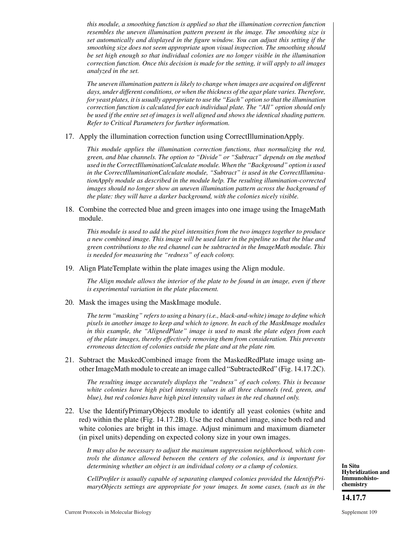*this module, a smoothing function is applied so that the illumination correction function resembles the uneven illumination pattern present in the image. The smoothing size is set automatically and displayed in the figure window. You can adjust this setting if the smoothing size does not seem appropriate upon visual inspection. The smoothing should be set high enough so that individual colonies are no longer visible in the illumination correction function. Once this decision is made for the setting, it will apply to all images analyzed in the set.*

*The uneven illumination pattern is likely to change when images are acquired on different days, under different conditions, or when the thickness of the agar plate varies. Therefore, for yeast plates, it is usually appropriate to use the "Each" option so that the illumination correction function is calculated for each individual plate. The "All" option should only be used if the entire set of images is well aligned and shows the identical shading pattern. Refer to Critical Parameters for further information.*

17. Apply the illumination correction function using CorrectIlluminationApply.

*This module applies the illumination correction functions, thus normalizing the red, green, and blue channels. The option to "Divide" or "Subtract" depends on the method used in the CorrectIlluminationCalculate module. When the "Background" option is used in the CorrectIlluminationCalculate module, "Subtract" is used in the CorrectIlluminationApply module as described in the module help. The resulting illumination-corrected images should no longer show an uneven illumination pattern across the background of the plate: they will have a darker background, with the colonies nicely visible.*

18. Combine the corrected blue and green images into one image using the ImageMath module.

*This module is used to add the pixel intensities from the two images together to produce a new combined image. This image will be used later in the pipeline so that the blue and green contributions to the red channel can be subtracted in the ImageMath module. This is needed for measuring the "redness" of each colony.*

19. Align PlateTemplate within the plate images using the Align module.

*The Align module allows the interior of the plate to be found in an image, even if there is experimental variation in the plate placement.*

20. Mask the images using the MaskImage module.

*The term "masking" refers to using a binary (i.e., black-and-white) image to define which pixels in another image to keep and which to ignore. In each of the MaskImage modules in this example, the "AlignedPlate" image is used to mask the plate edges from each of the plate images, thereby effectively removing them from consideration. This prevents erroneous detection of colonies outside the plate and at the plate rim.*

21. Subtract the MaskedCombined image from the MaskedRedPlate image using another ImageMath module to create an image called "SubtractedRed" (Fig. 14.17.2C).

*The resulting image accurately displays the "redness" of each colony. This is because white colonies have high pixel intensity values in all three channels (red, green, and blue), but red colonies have high pixel intensity values in the red channel only.*

22. Use the IdentifyPrimaryObjects module to identify all yeast colonies (white and red) within the plate (Fig. 14.17.2B). Use the red channel image, since both red and white colonies are bright in this image. Adjust minimum and maximum diameter (in pixel units) depending on expected colony size in your own images.

*It may also be necessary to adjust the maximum suppression neighborhood, which controls the distance allowed between the centers of the colonies, and is important for determining whether an object is an individual colony or a clump of colonies.*

*CellProfiler is usually capable of separating clumped colonies provided the IdentifyPrimaryObjects settings are appropriate for your images. In some cases, (such as in the*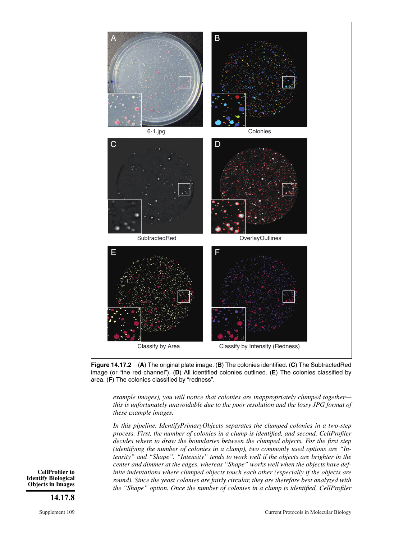

**Figure 14.17.2** (**A**) The original plate image. (**B**) The colonies identified. (**C**) The SubtractedRed image (or "the red channel"). (**D**) All identified colonies outlined. (**E**) The colonies classified by area. (**F**) The colonies classified by "redness".

*example images), you will notice that colonies are inappropriately clumped together this is unfortunately unavoidable due to the poor resolution and the lossy JPG format of these example images.*

*In this pipeline, IdentifyPrimaryObjects separates the clumped colonies in a two-step process. First, the number of colonies in a clump is identified, and second, CellProfiler decides where to draw the boundaries between the clumped objects. For the first step (identifying the number of colonies in a clump), two commonly used options are "Intensity" and "Shape". "Intensity" tends to work well if the objects are brighter in the center and dimmer at the edges, whereas "Shape" works well when the objects have definite indentations where clumped objects touch each other (especially if the objects are round). Since the yeast colonies are fairly circular, they are therefore best analyzed with the "Shape" option. Once the number of colonies in a clump is identified, CellProfiler*

**CellProfiler to Identify Biological Objects in Images**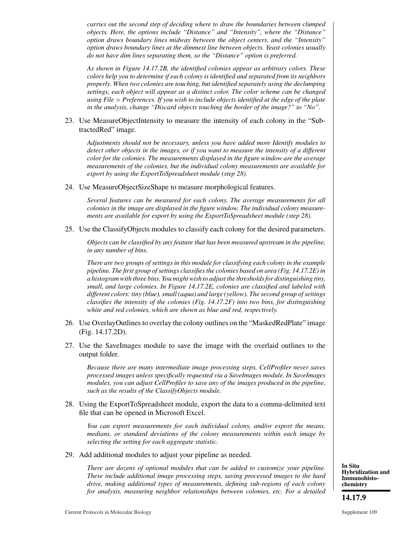*carries out the second step of deciding where to draw the boundaries between clumped objects. Here, the options include "Distance" and "Intensity", where the "Distance" option draws boundary lines midway between the object centers, and the "Intensity" option draws boundary lines at the dimmest line between objects. Yeast colonies usually do not have dim lines separating them, so the "Distance" option is preferred.*

*As shown in Figure 14.17.2B, the identified colonies appear as arbitrary colors. These colors help you to determine if each colony is identified and separated from its neighbors properly. When two colonies are touching, but identified separately using the declumping settings, each object will appear as a distinct color. The color scheme can be changed using File* > *Preferences. If you wish to include objects identified at the edge of the plate in the analysis, change "Discard objects touching the border of the image?" to "No".*

23. Use MeasureObjectIntensity to measure the intensity of each colony in the "SubtractedRed" image.

*Adjustments should not be necessary, unless you have added more Identify modules to detect other objects in the images, or if you want to measure the intensity of a different color for the colonies. The measurements displayed in the figure window are the average measurements of the colonies, but the individual colony measurements are available for export by using the ExportToSpreadsheet module (step 28).*

24. Use MeasureObjectSizeShape to measure morphological features.

*Several features can be measured for each colony. The average measurements for all colonies in the image are displayed in the figure window. The individual colony measurements are available for export by using the ExportToSpreadsheet module (step 28).*

25. Use the ClassifyObjects modules to classify each colony for the desired parameters.

*Objects can be classified by any feature that has been measured upstream in the pipeline, in any number of bins.*

*There are two groups of settings in this module for classifying each colony in the example pipeline. The first group of settings classifies the colonies based on area (Fig. 14.17.2E) in a histogram with three bins. You might wish to adjust the thresholds for distinguishing tiny, small, and large colonies. In Figure 14.17.2E, colonies are classified and labeled with different colors: tiny (blue), small (aqua) and large (yellow). The second group of settings classifies the intensity of the colonies (Fig. 14.17.2F) into two bins, for distinguishing white and red colonies, which are shown as blue and red, respectively.*

- 26. Use OverlayOutlines to overlay the colony outlines on the "MaskedRedPlate" image (Fig. 14.17.2D).
- 27. Use the SaveImages module to save the image with the overlaid outlines to the output folder.

*Because there are many intermediate image processing steps, CellProfiler never saves processed images unless specifically requested via a SaveImages module. In SaveImages modules, you can adjust CellProfiler to save any of the images produced in the pipeline, such as the results of the ClassifyObjects module.*

28. Using the ExportToSpreadsheet module, export the data to a comma-delimited text file that can be opened in Microsoft Excel.

*You can export measurements for each individual colony, and/or export the means, medians, or standard deviations of the colony measurements within each image by selecting the setting for each aggregate statistic.*

29. Add additional modules to adjust your pipeline as needed.

*There are dozens of optional modules that can be added to customize your pipeline. These include additional image processing steps, saving processed images to the hard drive, making additional types of measurements, defining sub-regions of each colony for analysis, measuring neighbor relationships between colonies, etc. For a detailed*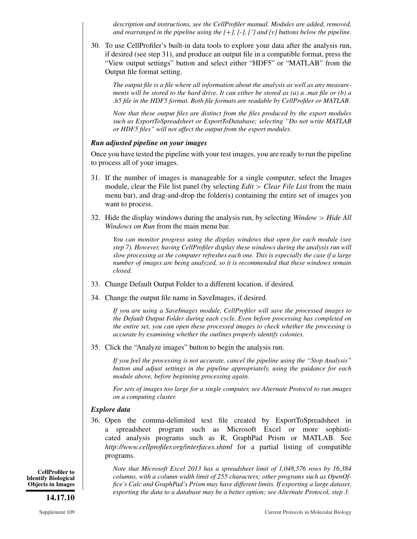*description and instructions, see the CellProfiler manual. Modules are added, removed, and rearranged in the pipeline using the [*+*], [-], [ˆ] and [v] buttons below the pipeline.*

30. To use CellProfiler's built-in data tools to explore your data after the analysis run, if desired (see step 31), and produce an output file in a compatible format, press the "View output settings" button and select either "HDF5" or "MATLAB" from the Output file format setting.

*The output file is a file where all information about the analysis as well as any measurements will be stored to the hard drive. It can either be stored as (a) a .mat file or (b) a .h5 file in the HDF5 format. Both file formats are readable by CellProfiler or MATLAB.*

*Note that these output files are distinct from the files produced by the export modules such as ExportToSpreadsheet or ExportToDatabase; selecting "Do not write MATLAB or HDF5 files" will not affect the output from the export modules.*

# *Run adjusted pipeline on your images*

Once you have tested the pipeline with your test images, you are ready to run the pipeline to process all of your images.

- 31. If the number of images is manageable for a single computer, select the Images module, clear the File list panel (by selecting *Edit* > *Clear File List* from the main menu bar), and drag-and-drop the folder(s) containing the entire set of images you want to process.
- 32. Hide the display windows during the analysis run, by selecting *Window* > *Hide All Windows on Run* from the main menu bar.

*You can monitor progress using the display windows that open for each module (see step 7). However, having CellProfiler display these windows during the analysis run will slow processing as the computer refreshes each one. This is especially the case if a large number of images are being analyzed, so it is recommended that these windows remain closed.*

- 33. Change Default Output Folder to a different location, if desired.
- 34. Change the output file name in SaveImages, if desired.

*If you are using a SaveImages module, CellProfiler will save the processed images to the Default Output Folder during each cycle. Even before processing has completed on the entire set, you can open these processed images to check whether the processing is accurate by examining whether the outlines properly identify colonies.*

35. Click the "Analyze images" button to begin the analysis run.

*If you feel the processing is not accurate, cancel the pipeline using the "Stop Analysis" button and adjust settings in the pipeline appropriately, using the guidance for each module above, before beginning processing again.*

*For sets of images too large for a single computer, see Alternate Protocol to run images on a computing cluster.*

## *Explore data*

36. Open the comma-delimited text file created by ExportToSpreadsheet in a spreadsheet program such as Microsoft Excel or more sophisticated analysis programs such as R, GraphPad Prism or MATLAB. See *<http://www.cellprofiler.org/interfaces.shtml>* for a partial listing of compatible programs.

*Note that Microsoft Excel 2013 has a spreadsheet limit of 1,048,576 rows by 16,384 columns, with a column width limit of 255 characters; other programs such as OpenOffice's Calc and GraphPad's Prism may have different limits. If exporting a large dataset, exporting the data to a database may be a better option; see Alternate Protocol, step 3.*

**CellProfiler to Identify Biological Objects in Images**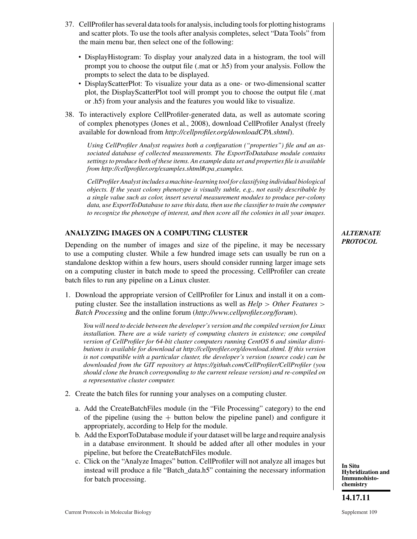- 37. CellProfiler has several data tools for analysis, including tools for plotting histograms and scatter plots. To use the tools after analysis completes, select "Data Tools" from the main menu bar, then select one of the following:
	- DisplayHistogram: To display your analyzed data in a histogram, the tool will prompt you to choose the output file (.mat or .h5) from your analysis. Follow the prompts to select the data to be displayed.
	- DisplayScatterPlot: To visualize your data as a one- or two-dimensional scatter plot, the DisplayScatterPlot tool will prompt you to choose the output file (.mat or .h5) from your analysis and the features you would like to visualize.
- 38. To interactively explore CellProfiler-generated data, as well as automate scoring of complex phenotypes (Jones et al., 2008), download CellProfiler Analyst (freely available for download from *<http://cellprofiler.org/downloadCPA.shtml>*).

*Using CellProfiler Analyst requires both a configuration ("properties") file and an associated database of collected measurements. The ExportToDatabase module contains settings to produce both of these items. An example data set and properties file is available from [http://cellprofiler.org/examples.shtml#cpa](http://cellprofiler.org/examples.shtml#cpa_examples) examples.*

*CellProfiler Analyst includes a machine-learning tool for classifying individual biological objects. If the yeast colony phenotype is visually subtle, e.g., not easily describable by a single value such as color, insert several measurement modules to produce per-colony data, use ExportToDatabase to save this data, then use the classifier to train the computer to recognize the phenotype of interest, and then score all the colonies in all your images.*

# **ANALYZING IMAGES ON A COMPUTING CLUSTER**

Depending on the number of images and size of the pipeline, it may be necessary to use a computing cluster. While a few hundred image sets can usually be run on a standalone desktop within a few hours, users should consider running larger image sets on a computing cluster in batch mode to speed the processing. CellProfiler can create batch files to run any pipeline on a Linux cluster.

1. Download the appropriate version of CellProfiler for Linux and install it on a computing cluster. See the installation instructions as well as *Help* > *Other Features* > *Batch Processing* and the online forum (*<http://www.cellprofiler.org/forum>*).

*You will need to decide between the developer's version and the compiled version for Linux installation. There are a wide variety of computing clusters in existence; one compiled version of CellProfiler for 64-bit cluster computers running CentOS 6 and similar distributions is available for download at [http://cellprofiler.org/download.shtml.](http://cellprofiler.org/download.shtml) If this version is not compatible with a particular cluster, the developer's version (source code) can be downloaded from the GIT repository at [https://github.com/CellProfiler/CellProfiler](http://https://github.com/CellProfiler/CellProfiler) (you should clone the branch corresponding to the current release version) and re-compiled on a representative cluster computer.*

- 2. Create the batch files for running your analyses on a computing cluster.
	- a. Add the CreateBatchFiles module (in the "File Processing" category) to the end of the pipeline (using the  $+$  button below the pipeline panel) and configure it appropriately, according to Help for the module.
	- b. Add the ExportToDatabase module if your dataset will be large and require analysis in a database environment. It should be added after all other modules in your pipeline, but before the CreateBatchFiles module.
	- c. Click on the "Analyze Images" button. CellProfiler will not analyze all images but instead will produce a file "Batch\_data.h5" containing the necessary information for batch processing.

# *ALTERNATE PROTOCOL*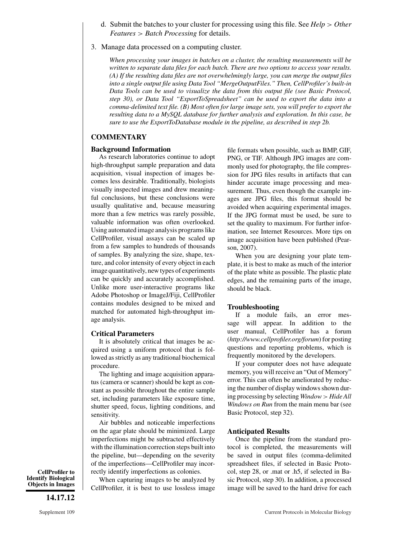- d. Submit the batches to your cluster for processing using this file. See *Help* > *Other Features* > *Batch Processing* for details.
- 3. Manage data processed on a computing cluster.

*When processing your images in batches on a cluster, the resulting measurements will be written to separate data files for each batch. There are two options to access your results. (A) If the resulting data files are not overwhelmingly large, you can merge the output files into a single output file using Data Tool "MergeOutputFiles." Then, CellProfiler's built-in Data Tools can be used to visualize the data from this output file (see Basic Protocol, step 30), or Data Tool "ExportToSpreadsheet" can be used to export the data into a comma-delimited text file. (B) Most often for large image sets, you will prefer to export the resulting data to a MySQL database for further analysis and exploration. In this case, be sure to use the ExportToDatabase module in the pipeline, as described in step 2b.*

## **COMMENTARY**

# **Background Information**

As research laboratories continue to adopt high-throughput sample preparation and data acquisition, visual inspection of images becomes less desirable. Traditionally, biologists visually inspected images and drew meaningful conclusions, but these conclusions were usually qualitative and, because measuring more than a few metrics was rarely possible, valuable information was often overlooked. Using automated image analysis programs like CellProfiler, visual assays can be scaled up from a few samples to hundreds of thousands of samples. By analyzing the size, shape, texture, and color intensity of every object in each image quantitatively, new types of experiments can be quickly and accurately accomplished. Unlike more user-interactive programs like Adobe Photoshop or ImageJ/Fiji, CellProfiler contains modules designed to be mixed and matched for automated high-throughput image analysis.

#### **Critical Parameters**

It is absolutely critical that images be acquired using a uniform protocol that is followed as strictly as any traditional biochemical procedure.

The lighting and image acquisition apparatus (camera or scanner) should be kept as constant as possible throughout the entire sample set, including parameters like exposure time, shutter speed, focus, lighting conditions, and sensitivity.

Air bubbles and noticeable imperfections on the agar plate should be minimized. Large imperfections might be subtracted effectively with the illumination correction steps built into the pipeline, but—depending on the severity of the imperfections—CellProfiler may incorrectly identify imperfections as colonies.

When capturing images to be analyzed by CellProfiler, it is best to use lossless image file formats when possible, such as BMP, GIF, PNG, or TIF. Although JPG images are commonly used for photography, the file compression for JPG files results in artifacts that can hinder accurate image processing and measurement. Thus, even though the example images are JPG files, this format should be avoided when acquiring experimental images. If the JPG format must be used, be sure to set the quality to maximum. For further information, see Internet Resources. More tips on image acquisition have been published (Pearson, 2007).

When you are designing your plate template, it is best to make as much of the interior of the plate white as possible. The plastic plate edges, and the remaining parts of the image, should be black.

## **Troubleshooting**

If a module fails, an error message will appear. In addition to the user manual, CellProfiler has a forum (*<http://www.cellprofiler.org/forum>*) for posting questions and reporting problems, which is frequently monitored by the developers.

If your computer does not have adequate memory, you will receive an "Out of Memory" error. This can often be ameliorated by reducing the number of display windows shown during processing by selecting *Window*>*Hide All Windows on Run* from the main menu bar (see Basic Protocol, step 32).

## **Anticipated Results**

Once the pipeline from the standard protocol is completed, the measurements will be saved in output files (comma-delimited spreadsheet files, if selected in Basic Protocol, step 28, or .mat or .h5, if selected in Basic Protocol, step 30). In addition, a processed image will be saved to the hard drive for each

**CellProfiler to Identify Biological Objects in Images**